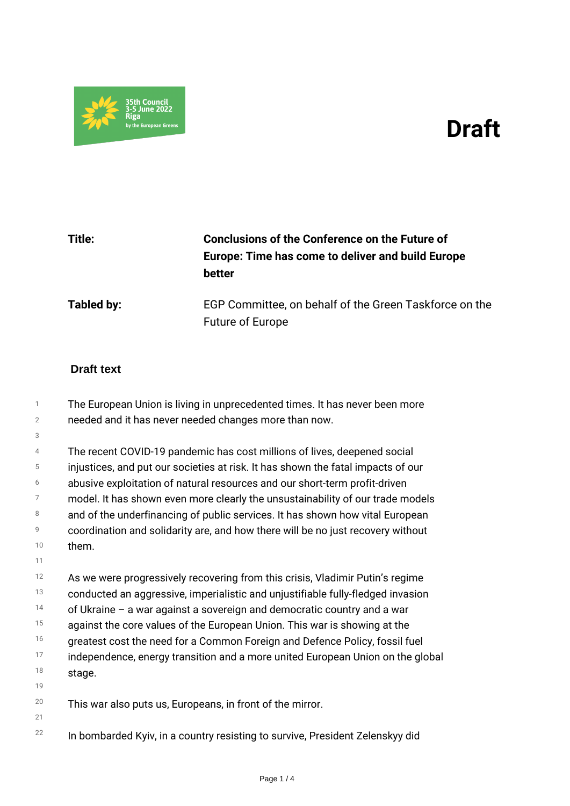## *Draft*



## *Title: Conclusions of the Conference on the Future of Europe: Time has come to deliver and build Europe better Tabled by: EGP Committee, on behalf of the Green Taskforce on the Future of Europe*

## **Draft text**

*3*

*11*

*21*

*1 2 The European Union is living in unprecedented times. It has never been more needed and it has never needed changes more than now.*

*4 5 6 7 8 9 10 The recent COVID-19 pandemic has cost millions of lives, deepened social injustices, and put our societies at risk. It has shown the fatal impacts of our abusive exploitation of natural resources and our short-term profit-driven model. It has shown even more clearly the unsustainability of our trade models and of the underfinancing of public services. It has shown how vital European coordination and solidarity are, and how there will be no just recovery without them.*

*12 13 14 15 16 17 18 19 As we were progressively recovering from this crisis, Vladimir Putin's regime conducted an aggressive, imperialistic and unjustifiable fully-fledged invasion of Ukraine – a war against a sovereign and democratic country and a war against the core values of the European Union. This war is showing at the greatest cost the need for a Common Foreign and Defence Policy, fossil fuel independence, energy transition and a more united European Union on the global stage.*

*20 This war also puts us, Europeans, in front of the mirror.*

*22 In bombarded Kyiv, in a country resisting to survive, President Zelenskyy did*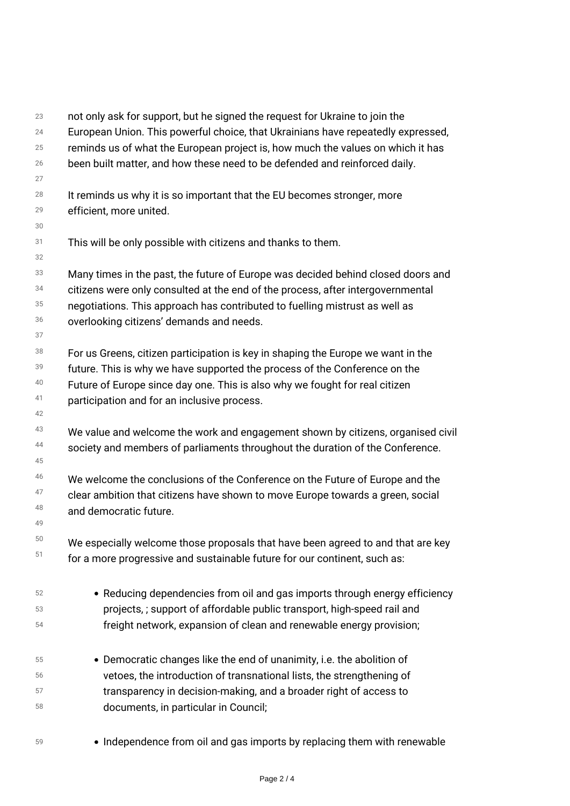| 23 | not only ask for support, but he signed the request for Ukraine to join the      |
|----|----------------------------------------------------------------------------------|
| 24 | European Union. This powerful choice, that Ukrainians have repeatedly expressed, |
| 25 | reminds us of what the European project is, how much the values on which it has  |
| 26 | been built matter, and how these need to be defended and reinforced daily.       |
| 27 |                                                                                  |
| 28 | It reminds us why it is so important that the EU becomes stronger, more          |
| 29 | efficient, more united.                                                          |
| 30 |                                                                                  |
| 31 | This will be only possible with citizens and thanks to them.                     |
| 32 |                                                                                  |
| 33 | Many times in the past, the future of Europe was decided behind closed doors and |
| 34 | citizens were only consulted at the end of the process, after intergovernmental  |
| 35 | negotiations. This approach has contributed to fuelling mistrust as well as      |
| 36 | overlooking citizens' demands and needs.                                         |
| 37 |                                                                                  |
| 38 | For us Greens, citizen participation is key in shaping the Europe we want in the |
| 39 | future. This is why we have supported the process of the Conference on the       |
| 40 | Future of Europe since day one. This is also why we fought for real citizen      |
| 41 | participation and for an inclusive process.                                      |
| 42 |                                                                                  |
| 43 | We value and welcome the work and engagement shown by citizens, organised civil  |
| 44 | society and members of parliaments throughout the duration of the Conference.    |
| 45 |                                                                                  |
| 46 | We welcome the conclusions of the Conference on the Future of Europe and the     |
| 47 | clear ambition that citizens have shown to move Europe towards a green, social   |
| 48 | and democratic future.                                                           |
| 49 |                                                                                  |
| 50 | We especially welcome those proposals that have been agreed to and that are key  |
| 51 | for a more progressive and sustainable future for our continent, such as:        |
|    |                                                                                  |
| 52 | • Reducing dependencies from oil and gas imports through energy efficiency       |
| 53 | projects, ; support of affordable public transport, high-speed rail and          |
| 54 | freight network, expansion of clean and renewable energy provision;              |
| 55 | • Democratic changes like the end of unanimity, i.e. the abolition of            |
| 56 | vetoes, the introduction of transnational lists, the strengthening of            |
| 57 | transparency in decision-making, and a broader right of access to                |
| 58 | documents, in particular in Council;                                             |
|    |                                                                                  |
|    |                                                                                  |

*<sup>59</sup> Independence from oil and gas imports by replacing them with renewable*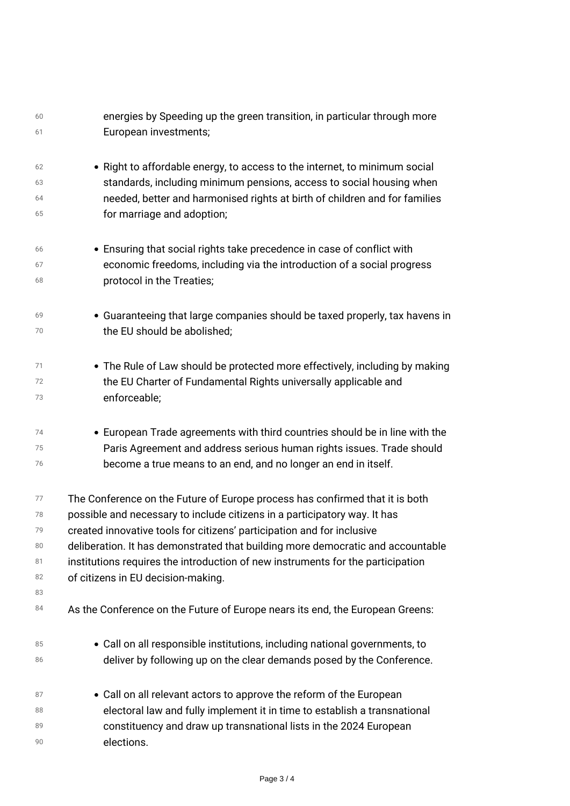| 60<br>61 | energies by Speeding up the green transition, in particular through more<br>European investments; |
|----------|---------------------------------------------------------------------------------------------------|
| 62       | • Right to affordable energy, to access to the internet, to minimum social                        |
| 63       | standards, including minimum pensions, access to social housing when                              |
| 64       | needed, better and harmonised rights at birth of children and for families                        |
| 65       | for marriage and adoption;                                                                        |
| 66       | • Ensuring that social rights take precedence in case of conflict with                            |
| 67       | economic freedoms, including via the introduction of a social progress                            |
| 68       | protocol in the Treaties;                                                                         |
| 69       | • Guaranteeing that large companies should be taxed properly, tax havens in                       |
| 70       | the EU should be abolished;                                                                       |
| 71       | • The Rule of Law should be protected more effectively, including by making                       |
| 72       | the EU Charter of Fundamental Rights universally applicable and                                   |
| 73       | enforceable;                                                                                      |
| 74       | • European Trade agreements with third countries should be in line with the                       |
| 75       | Paris Agreement and address serious human rights issues. Trade should                             |
| 76       | become a true means to an end, and no longer an end in itself.                                    |
| 77       | The Conference on the Future of Europe process has confirmed that it is both                      |
| 78       | possible and necessary to include citizens in a participatory way. It has                         |
| 79       | created innovative tools for citizens' participation and for inclusive                            |
| 80       | deliberation. It has demonstrated that building more democratic and accountable                   |
| 81       | institutions requires the introduction of new instruments for the participation                   |
| 82       | of citizens in EU decision-making.                                                                |
| 83<br>84 | As the Conference on the Future of Europe nears its end, the European Greens:                     |
| 85       | • Call on all responsible institutions, including national governments, to                        |
| 86       | deliver by following up on the clear demands posed by the Conference.                             |
| 87       | • Call on all relevant actors to approve the reform of the European                               |
| 88       | electoral law and fully implement it in time to establish a transnational                         |
| 89       | constituency and draw up transnational lists in the 2024 European                                 |
| 90       | elections.                                                                                        |